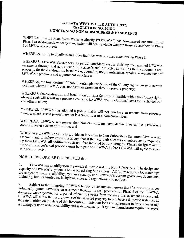## LA PLATA WEST WATER AUTHORITY<br>RESOLUTION NO. 2018-3 CONCERNING NON-SUBSCRIBERS & EASEMENTS

WHEREAS, Phase I of its domestic the La Plata West Water Authority ("LPWWA") has commenced construction of Phase I of its domestic water system, which will bring potable water to those Subscribers in Phase<br>I of LPWWA's project;

WHEREAS, multiple pipelines and other facilities will be constructed during Phase I;

easements WHEREAS, through LPWWA and Subscribers, as partial consideration for their tap fee, granted LPWWA across property, for the construction, property, for the construction, installation, operation, use, maintenance, repair and replacement of LPWWA's pipelines and appurtenant structures;

WHEREAS, locations where the LPWWA final design of Phase I contemplates the use of the County right-of-way in certain PWWA does not have an easement through private property; locations where LPWWA does not have an easement through private property;

WHEREAS, of-way, such the will construction onstruction and installation of water facilities is feasible within the County right-<br>result in a greater expense to I PWWA duanty dilities or-way, such will result in a greater expense to LPWWA due to additional costs for traffic control<br>and other matters;

owners, WHEREAS, whether LPWWA has adopted a policy that it will not purchase easements from property owner is a Subscriber or a Non-Subscriber; owners, whether said property owner is a Subscriber or a Non-Subscriber;

domestic WHEREAS, water LPWWA PWWA recognizes that Non-Subscribers have declined to utilize LPWWA's system at this time; and

easement WHEREAS, and LPWWA to inform desires to provide an incentive to Non-Subscribers that grant LPWWA an Non-Subscribers that if there  $(t, t)$ . Non-Subscribers that if they (or their successors) subsequently request a<br>dditional costs and fees inoursed by their successors) subsequently request a tap from LPWWA, all additional costs and fees incurred by re-routing the Phase I design to avoid<br>a Non-Subscriber's real property must be repoid to I DWW i. <sup>a</sup> Non-Subscriber's real property must a ivon-subscriber s real property must be repaid to LPWWA before LPWWA will agree to serve

NOW THEREFORE, BE IT RESOLVED that:

capacity of LPWWA's system is based on existing Subscribers. All future requests for water taps<br>are subject to water availability system consolutional LBWW. l. LPWWA ofLPWWA's has no obligation to provide domestic water to Non-Subscribers. The design and<br>WA's system is hased on ovicting S-1 in the U.S. of the Subscribers. The design and are subject to water availability, are subject to water availability, system capacity, and LPWWA's current governing documents, including, but not limited to, its bylaws, rules and regulations, and policies.

voluntarily 2. Subject ect to the foregoing, LPWWA hereby covenants and agrees that if a Non-Subscriber<br>grants LPWWA an easement through its real way. domestic water system, LPWWA for voluntarily grants LPWWA an easement through its real property for Phase I of the LPWWA domestic water system, for a period of two (2) years from the date the easement is executed, LPWWA will allow the record owner of the LPWWA will allow the record owner of the affected property to purchase a domestic water tap at the rate in effect on the date of this Resolution. This rate-lock and agreement to issue a water tap is contingent upon water a the rate in effect on the date of this Resolution. This rate-lock and agreement to issue a water tap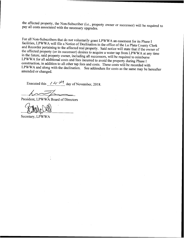the affected property, the Non-Subscriber (i.e., property owner or successor) will be required to pay all costs associated with the necessary upgrades. pay all costs associated with the necessary upgrades.

For all Non-Subscribers that do not voluntarily grant LPWWA an easement for its Phase <sup>I</sup> and Recorder pertaining to the affected real property. Said notice will state that if the owner of<br>the affected property (or its successor) desires to acquire a water tap from LPWWA at any time<br>in the future, said property LPWWA and along with the declination. See addendum for costs as the same may be hereafter amended or changed.

Executed this  $\frac{14}{11}$  day of November, 2018.

President, LPWWA Board of Directors

Secretary, LPWWA